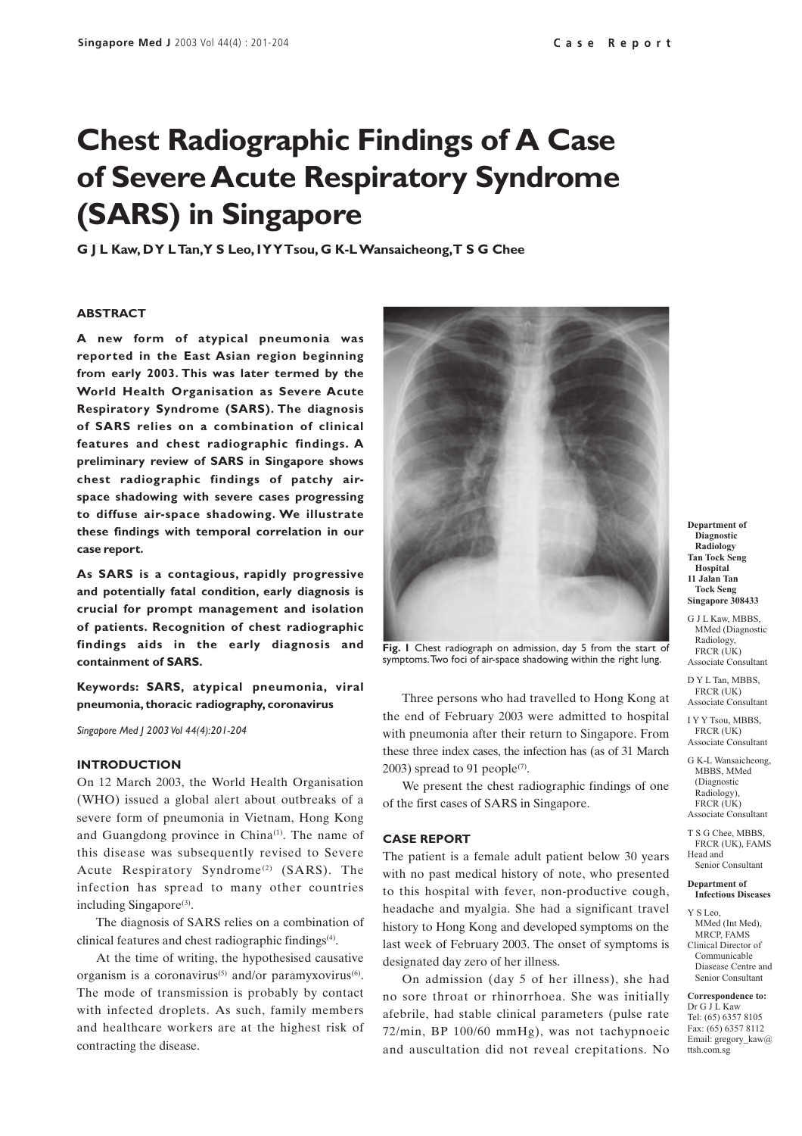# **Chest Radiographic Findings of A Case of Severe Acute Respiratory Syndrome (SARS) in Singapore**

**G J L Kaw, D Y L Tan, Y S Leo, I Y Y Tsou, G K-L Wansaicheong, T S G Chee**

#### **ABSTRACT**

**A new form of atypical pneumonia was reported in the East Asian region beginning from early 2003. This was later termed by the World Health Organisation as Severe Acute Respiratory Syndrome (SARS). The diagnosis of SARS relies on a combination of clinical features and chest radiographic findings. A preliminary review of SARS in Singapore shows chest radiographic findings of patchy airspace shadowing with severe cases progressing to diffuse air-space shadowing. We illustrate these findings with temporal correlation in our case report.**

**As SARS is a contagious, rapidly progressive and potentially fatal condition, early diagnosis is crucial for prompt management and isolation of patients. Recognition of chest radiographic findings aids in the early diagnosis and containment of SARS.**

**Keywords: SARS, atypical pneumonia, viral pneumonia, thoracic radiography, coronavirus**

*Singapore Med J 2003 Vol 44(4):201-204*

### **INTRODUCTION**

On 12 March 2003, the World Health Organisation (WHO) issued a global alert about outbreaks of a severe form of pneumonia in Vietnam, Hong Kong and Guangdong province in China<sup>(1)</sup>. The name of this disease was subsequently revised to Severe Acute Respiratory Syndrome<sup>(2)</sup> (SARS). The infection has spread to many other countries including Singapore<sup>(3)</sup>.

The diagnosis of SARS relies on a combination of clinical features and chest radiographic findings(4).

At the time of writing, the hypothesised causative organism is a coronavirus<sup>(5)</sup> and/or paramyxovirus<sup>(6)</sup>. The mode of transmission is probably by contact with infected droplets. As such, family members and healthcare workers are at the highest risk of contracting the disease.



**Fig. 1** Chest radiograph on admission, day 5 from the start of symptoms. Two foci of air-space shadowing within the right lung.

Three persons who had travelled to Hong Kong at the end of February 2003 were admitted to hospital with pneumonia after their return to Singapore. From these three index cases, the infection has (as of 31 March 2003) spread to 91 people<sup>(7)</sup>.

We present the chest radiographic findings of one of the first cases of SARS in Singapore.

#### **CASE REPORT**

The patient is a female adult patient below 30 years with no past medical history of note, who presented to this hospital with fever, non-productive cough, headache and myalgia. She had a significant travel history to Hong Kong and developed symptoms on the last week of February 2003. The onset of symptoms is designated day zero of her illness.

On admission (day 5 of her illness), she had no sore throat or rhinorrhoea. She was initially afebrile, had stable clinical parameters (pulse rate 72/min, BP 100/60 mmHg), was not tachypnoeic and auscultation did not reveal crepitations. No

**Department of Diagnostic Radiology Tan Tock Seng Hospital 11 Jalan Tan Tock Seng Singapore 308433**

G I L Kaw, MBBS MMed (Diagnostic Radiology, FRCR (UK) Associate Consultant

D Y L Tan, MBBS, FRCR (UK) Associate Consultant

I Y Y Tsou, MBBS, FRCR (UK) Associate Consultant

G K-L Wansaicheong, MBBS, MMed (Diagnostic Radiology), FRCR (UK) Associate Consultant

T S G Chee, MBBS, FRCR (UK), FAMS Head and Senior Consultant

**Department of Infectious Diseases**

Y S Leo, MMed (Int Med), MRCP, FAMS Clinical Director of Communicable Diasease Centre and Senior Consultant

**Correspondence to:** Dr G J L Kaw Tel: (65) 6357 8105 Fax: (65) 6357 8112 Email: gregory\_kaw@ ttsh.com.sg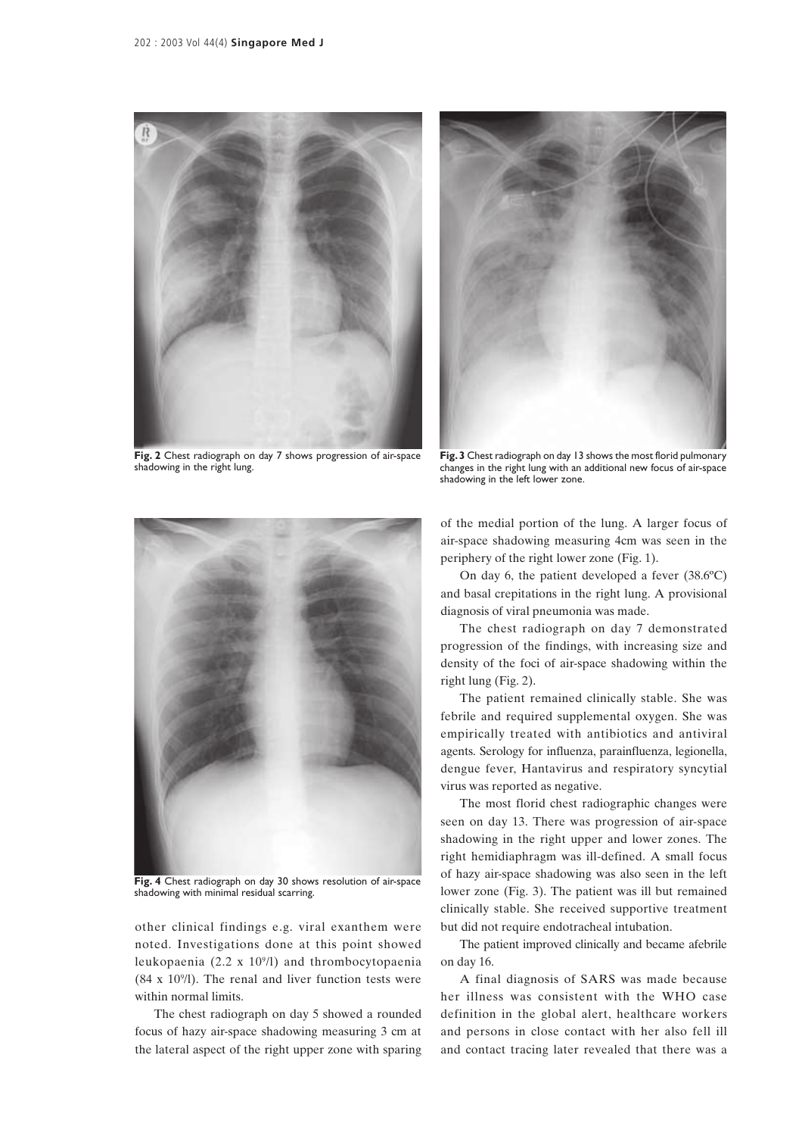



**Fig. 2** Chest radiograph on day 7 shows progression of air-space shadowing in the right lung.

**Fig. 3** Chest radiograph on day 13 shows the most florid pulmonary changes in the right lung with an additional new focus of air-space shadowing in the left lower zone.



**Fig. 4** Chest radiograph on day 30 shows resolution of air-space shadowing with minimal residual scarring.

other clinical findings e.g. viral exanthem were noted. Investigations done at this point showed leukopaenia (2.2 x 109/l) and thrombocytopaenia  $(84 \times 10<sup>9</sup>/I)$ . The renal and liver function tests were within normal limits.

The chest radiograph on day 5 showed a rounded focus of hazy air-space shadowing measuring 3 cm at the lateral aspect of the right upper zone with sparing of the medial portion of the lung. A larger focus of air-space shadowing measuring 4cm was seen in the periphery of the right lower zone (Fig. 1).

On day 6, the patient developed a fever (38.6ºC) and basal crepitations in the right lung. A provisional diagnosis of viral pneumonia was made.

The chest radiograph on day 7 demonstrated progression of the findings, with increasing size and density of the foci of air-space shadowing within the right lung (Fig. 2).

The patient remained clinically stable. She was febrile and required supplemental oxygen. She was empirically treated with antibiotics and antiviral agents. Serology for influenza, parainfluenza, legionella, dengue fever, Hantavirus and respiratory syncytial virus was reported as negative.

The most florid chest radiographic changes were seen on day 13. There was progression of air-space shadowing in the right upper and lower zones. The right hemidiaphragm was ill-defined. A small focus of hazy air-space shadowing was also seen in the left lower zone (Fig. 3). The patient was ill but remained clinically stable. She received supportive treatment but did not require endotracheal intubation.

The patient improved clinically and became afebrile on day 16.

A final diagnosis of SARS was made because her illness was consistent with the WHO case definition in the global alert, healthcare workers and persons in close contact with her also fell ill and contact tracing later revealed that there was a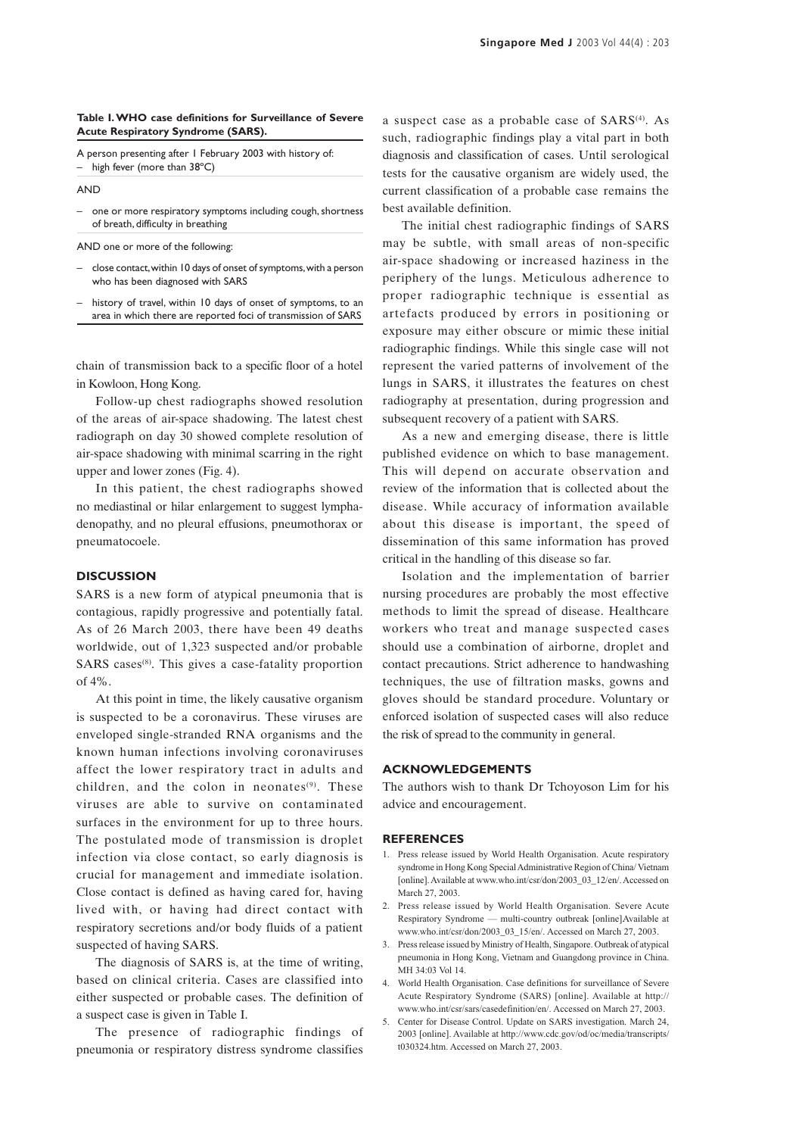#### **Table I. WHO case definitions for Surveillance of Severe Acute Respiratory Syndrome (SARS).**

A person presenting after 1 February 2003 with history of: – high fever (more than 38ºC)

AND

– one or more respiratory symptoms including cough, shortness of breath, difficulty in breathing

AND one or more of the following:

- close contact, within 10 days of onset of symptoms, with a person who has been diagnosed with SARS
- history of travel, within 10 days of onset of symptoms, to an area in which there are reported foci of transmission of SARS

chain of transmission back to a specific floor of a hotel in Kowloon, Hong Kong.

Follow-up chest radiographs showed resolution of the areas of air-space shadowing. The latest chest radiograph on day 30 showed complete resolution of air-space shadowing with minimal scarring in the right upper and lower zones (Fig. 4).

In this patient, the chest radiographs showed no mediastinal or hilar enlargement to suggest lymphadenopathy, and no pleural effusions, pneumothorax or pneumatocoele.

## **DISCUSSION**

SARS is a new form of atypical pneumonia that is contagious, rapidly progressive and potentially fatal. As of 26 March 2003, there have been 49 deaths worldwide, out of 1,323 suspected and/or probable  $SARS \; cases^{(8)}$ . This gives a case-fatality proportion of  $4\%$ 

At this point in time, the likely causative organism is suspected to be a coronavirus. These viruses are enveloped single-stranded RNA organisms and the known human infections involving coronaviruses affect the lower respiratory tract in adults and children, and the colon in neonates $(9)$ . These viruses are able to survive on contaminated surfaces in the environment for up to three hours. The postulated mode of transmission is droplet infection via close contact, so early diagnosis is crucial for management and immediate isolation. Close contact is defined as having cared for, having lived with, or having had direct contact with respiratory secretions and/or body fluids of a patient suspected of having SARS.

The diagnosis of SARS is, at the time of writing, based on clinical criteria. Cases are classified into either suspected or probable cases. The definition of a suspect case is given in Table I.

The presence of radiographic findings of pneumonia or respiratory distress syndrome classifies

a suspect case as a probable case of SARS<sup>(4)</sup>. As such, radiographic findings play a vital part in both diagnosis and classification of cases. Until serological tests for the causative organism are widely used, the current classification of a probable case remains the best available definition.

The initial chest radiographic findings of SARS may be subtle, with small areas of non-specific air-space shadowing or increased haziness in the periphery of the lungs. Meticulous adherence to proper radiographic technique is essential as artefacts produced by errors in positioning or exposure may either obscure or mimic these initial radiographic findings. While this single case will not represent the varied patterns of involvement of the lungs in SARS, it illustrates the features on chest radiography at presentation, during progression and subsequent recovery of a patient with SARS.

As a new and emerging disease, there is little published evidence on which to base management. This will depend on accurate observation and review of the information that is collected about the disease. While accuracy of information available about this disease is important, the speed of dissemination of this same information has proved critical in the handling of this disease so far.

Isolation and the implementation of barrier nursing procedures are probably the most effective methods to limit the spread of disease. Healthcare workers who treat and manage suspected cases should use a combination of airborne, droplet and contact precautions. Strict adherence to handwashing techniques, the use of filtration masks, gowns and gloves should be standard procedure. Voluntary or enforced isolation of suspected cases will also reduce the risk of spread to the community in general.

### **ACKNOWLEDGEMENTS**

The authors wish to thank Dr Tchoyoson Lim for his advice and encouragement.

#### **REFERENCES**

- 1. Press release issued by World Health Organisation. Acute respiratory syndrome in Hong Kong Special Administrative Region of China/ Vietnam [online]. Available at www.who.int/csr/don/2003\_03\_12/en/. Accessed on March 27, 2003.
- 2. Press release issued by World Health Organisation. Severe Acute Respiratory Syndrome — multi-country outbreak [online]Available at www.who.int/csr/don/2003\_03\_15/en/. Accessed on March 27, 2003.
- 3. Press release issued by Ministry of Health, Singapore. Outbreak of atypical pneumonia in Hong Kong, Vietnam and Guangdong province in China. MH 34:03 Vol 14.
- 4. World Health Organisation. Case definitions for surveillance of Severe Acute Respiratory Syndrome (SARS) [online]. Available at http:// www.who.int/csr/sars/casedefinition/en/. Accessed on March 27, 2003.
- 5. Center for Disease Control. Update on SARS investigation. March 24, 2003 [online]. Available at http://www.cdc.gov/od/oc/media/transcripts/ t030324.htm. Accessed on March 27, 2003.